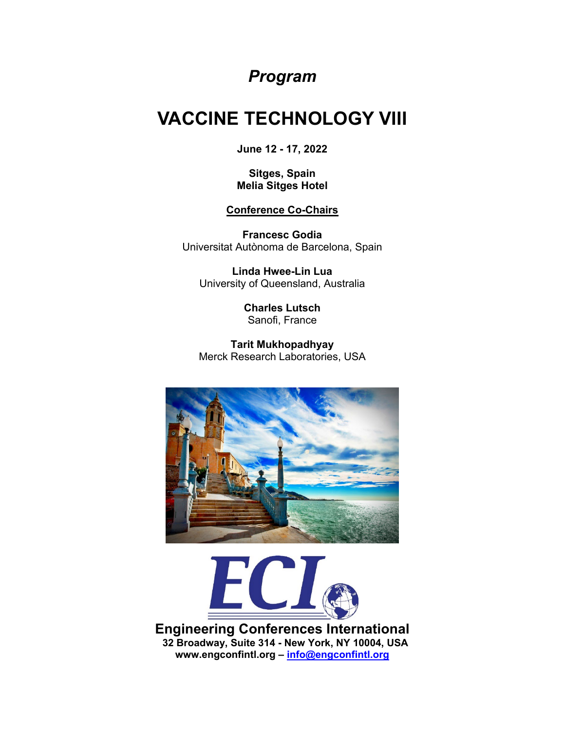## *Program*

## **VACCINE TECHNOLOGY VIII**

**June 12 - 17, 2022**

**Sitges, Spain Melia Sitges Hotel**

**Conference Co-Chairs**

**Francesc Godia** Universitat Autònoma de Barcelona, Spain

**Linda Hwee-Lin Lua** University of Queensland, Australia

> **Charles Lutsch** Sanofi, France

**Tarit Mukhopadhyay** Merck Research Laboratories, USA





**Engineering Conferences International 32 Broadway, Suite 314 - New York, NY 10004, USA www.engconfintl.org – info@engconfintl.org**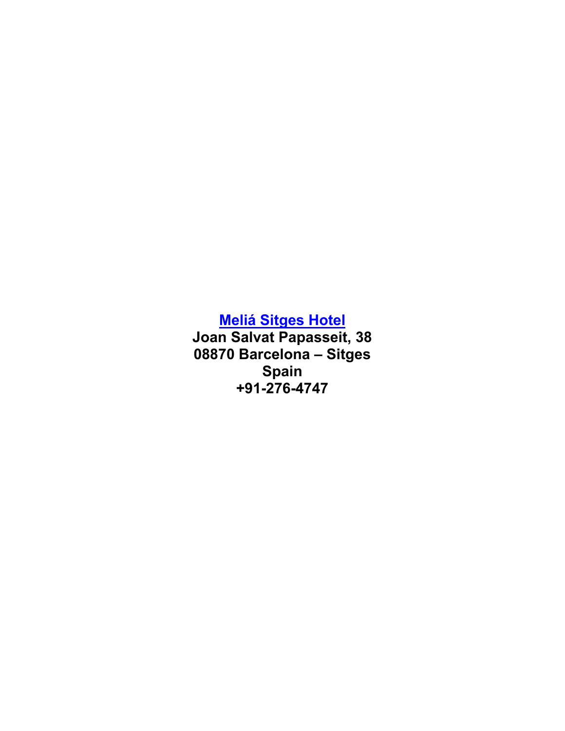**[Meliá Sitges](https://www.melia.com/en/hotels/spain/sitges/melia-sitges/index.htm) Hotel**

**Joan Salvat Papasseit, 38 08870 Barcelona – Sitges Spain +91-276-4747**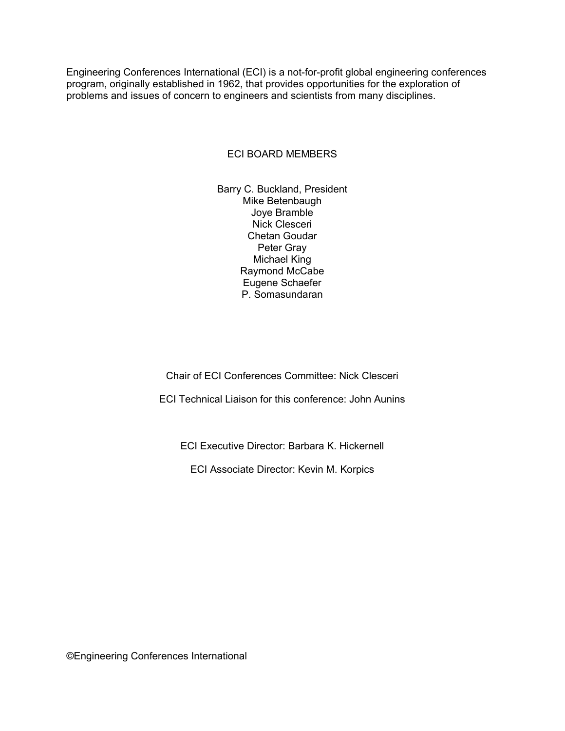Engineering Conferences International (ECI) is a not-for-profit global engineering conferences program, originally established in 1962, that provides opportunities for the exploration of problems and issues of concern to engineers and scientists from many disciplines.

#### ECI BOARD MEMBERS

Barry C. Buckland, President Mike Betenbaugh Joye Bramble Nick Clesceri Chetan Goudar Peter Gray Michael King Raymond McCabe Eugene Schaefer P. Somasundaran

Chair of ECI Conferences Committee: Nick Clesceri

ECI Technical Liaison for this conference: John Aunins

ECI Executive Director: Barbara K. Hickernell

ECI Associate Director: Kevin M. Korpics

©Engineering Conferences International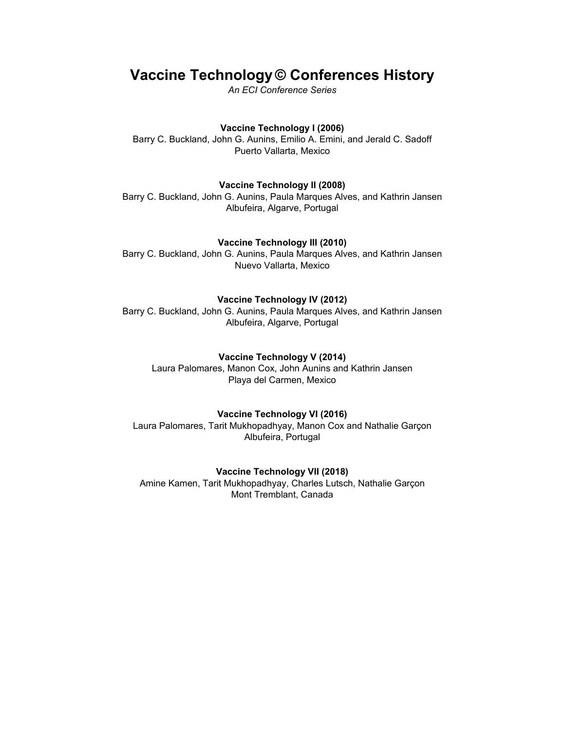## **Vaccine Technology © Conferences History**

*An ECI Conference Series*

#### **Vaccine Technology I (2006)**

Barry C. Buckland, John G. Aunins, Emilio A. Emini, and Jerald C. Sadoff Puerto Vallarta, Mexico

#### **Vaccine Technology II (2008)**

Barry C. Buckland, John G. Aunins, Paula Marques Alves, and Kathrin Jansen Albufeira, Algarve, Portugal

#### **Vaccine Technology III (2010)**

Barry C. Buckland, John G. Aunins, Paula Marques Alves, and Kathrin Jansen Nuevo Vallarta, Mexico

#### **Vaccine Technology IV (2012)**

Barry C. Buckland, John G. Aunins, Paula Marques Alves, and Kathrin Jansen Albufeira, Algarve, Portugal

#### **Vaccine Technology V (2014)**

Laura Palomares, Manon Cox, John Aunins and Kathrin Jansen Playa del Carmen, Mexico

#### **Vaccine Technology VI (2016)**

Laura Palomares, Tarit Mukhopadhyay, Manon Cox and Nathalie Garçon Albufeira, Portugal

#### **Vaccine Technology VII (2018)**

Amine Kamen, Tarit Mukhopadhyay, Charles Lutsch, Nathalie Garçon Mont Tremblant, Canada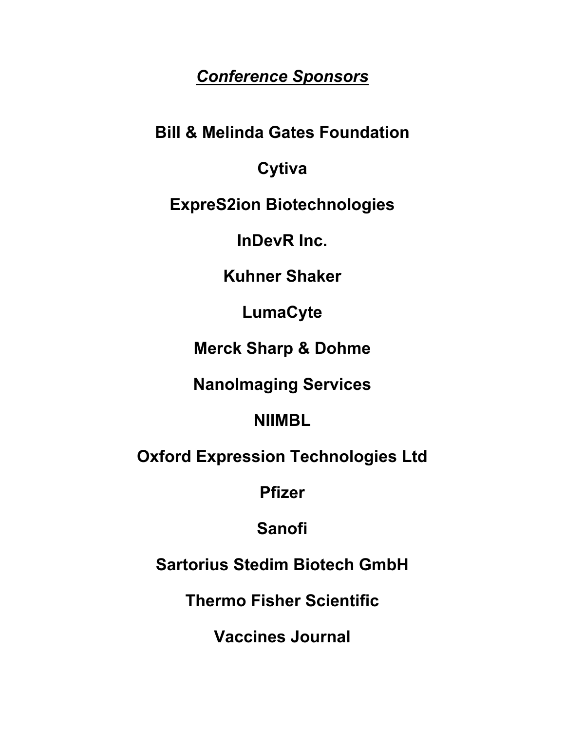## *Conference Sponsors*

**Bill & Melinda Gates Foundation**

## **Cytiva**

**ExpreS2ion Biotechnologies**

**InDevR Inc.**

**Kuhner Shaker**

**LumaCyte**

**Merck Sharp & Dohme**

**NanoImaging Services**

**NIIMBL**

**Oxford Expression Technologies Ltd**

**Pfizer**

**Sanofi**

**Sartorius Stedim Biotech GmbH**

**Thermo Fisher Scientific**

**Vaccines Journal**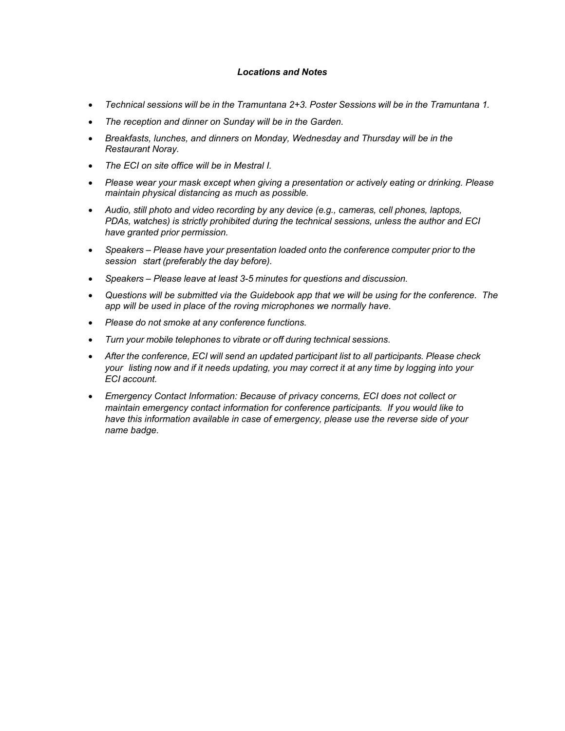#### *Locations and Notes*

- *Technical sessions will be in the Tramuntana 2+3. Poster Sessions will be in the Tramuntana 1.*
- *The reception and dinner on Sunday will be in the Garden.*
- *Breakfasts, lunches, and dinners on Monday, Wednesday and Thursday will be in the Restaurant Noray.*
- *The ECI on site office will be in Mestral I.*
- *Please wear your mask except when giving a presentation or actively eating or drinking. Please maintain physical distancing as much as possible.*
- *Audio, still photo and video recording by any device (e.g., cameras, cell phones, laptops, PDAs, watches) is strictly prohibited during the technical sessions, unless the author and ECI have granted prior permission.*
- *Speakers – Please have your presentation loaded onto the conference computer prior to the session start (preferably the day before).*
- *Speakers – Please leave at least 3-5 minutes for questions and discussion.*
- *Questions will be submitted via the Guidebook app that we will be using for the conference. The app will be used in place of the roving microphones we normally have.*
- *Please do not smoke at any conference functions.*
- *Turn your mobile telephones to vibrate or off during technical sessions.*
- *After the conference, ECI will send an updated participant list to all participants. Please check your listing now and if it needs updating, you may correct it at any time by logging into your ECI account.*
- *Emergency Contact Information: Because of privacy concerns, ECI does not collect or maintain emergency contact information for conference participants. If you would like to have this information available in case of emergency, please use the reverse side of your name badge.*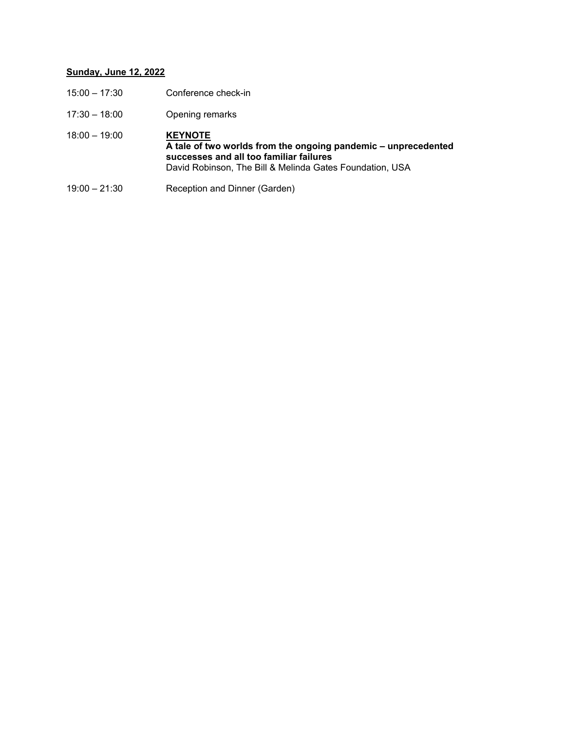## **Sunday, June 12, 2022**

| $15:00 - 17:30$ | Conference check-in                                                                                                                                                                     |
|-----------------|-----------------------------------------------------------------------------------------------------------------------------------------------------------------------------------------|
| $17:30 - 18:00$ | Opening remarks                                                                                                                                                                         |
| $18:00 - 19:00$ | <b>KEYNOTE</b><br>A tale of two worlds from the ongoing pandemic – unprecedented<br>successes and all too familiar failures<br>David Robinson, The Bill & Melinda Gates Foundation, USA |
| $19:00 - 21:30$ | Reception and Dinner (Garden)                                                                                                                                                           |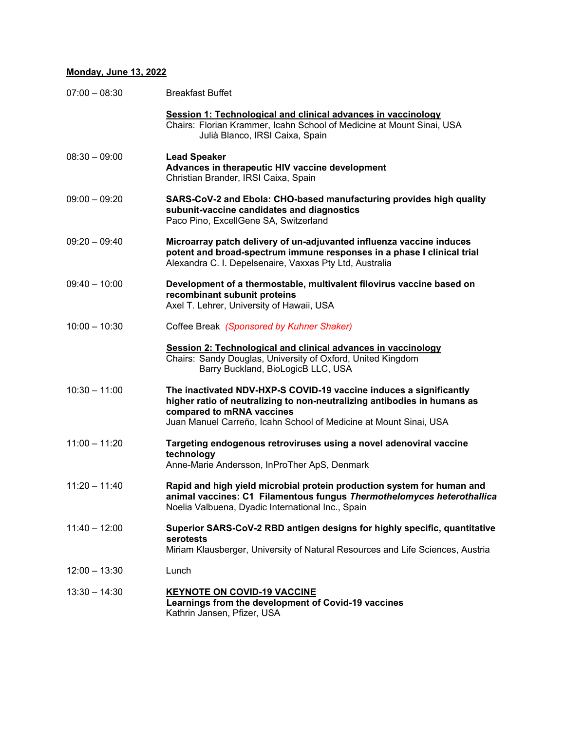#### **Monday, June 13, 2022**

| $07:00 - 08:30$ | <b>Breakfast Buffet</b>                                                                                                                                                                                                                          |
|-----------------|--------------------------------------------------------------------------------------------------------------------------------------------------------------------------------------------------------------------------------------------------|
|                 | Session 1: Technological and clinical advances in vaccinology<br>Chairs: Florian Krammer, Icahn School of Medicine at Mount Sinai, USA<br>Julià Blanco, IRSI Caixa, Spain                                                                        |
| $08:30 - 09:00$ | <b>Lead Speaker</b><br>Advances in therapeutic HIV vaccine development<br>Christian Brander, IRSI Caixa, Spain                                                                                                                                   |
| $09:00 - 09:20$ | SARS-CoV-2 and Ebola: CHO-based manufacturing provides high quality<br>subunit-vaccine candidates and diagnostics<br>Paco Pino, ExcellGene SA, Switzerland                                                                                       |
| $09:20 - 09:40$ | Microarray patch delivery of un-adjuvanted influenza vaccine induces<br>potent and broad-spectrum immune responses in a phase I clinical trial<br>Alexandra C. I. Depelsenaire, Vaxxas Pty Ltd, Australia                                        |
| $09:40 - 10:00$ | Development of a thermostable, multivalent filovirus vaccine based on<br>recombinant subunit proteins<br>Axel T. Lehrer, University of Hawaii, USA                                                                                               |
| $10:00 - 10:30$ | Coffee Break (Sponsored by Kuhner Shaker)                                                                                                                                                                                                        |
|                 | Session 2: Technological and clinical advances in vaccinology<br>Chairs: Sandy Douglas, University of Oxford, United Kingdom<br>Barry Buckland, BioLogicB LLC, USA                                                                               |
| $10:30 - 11:00$ | The inactivated NDV-HXP-S COVID-19 vaccine induces a significantly<br>higher ratio of neutralizing to non-neutralizing antibodies in humans as<br>compared to mRNA vaccines<br>Juan Manuel Carreño, Icahn School of Medicine at Mount Sinai, USA |
| $11:00 - 11:20$ | Targeting endogenous retroviruses using a novel adenoviral vaccine<br>technology<br>Anne-Marie Andersson, InProTher ApS, Denmark                                                                                                                 |
| $11:20 - 11:40$ | Rapid and high yield microbial protein production system for human and<br>animal vaccines: C1 Filamentous fungus Thermothelomyces heterothallica<br>Noelia Valbuena, Dyadic International Inc., Spain                                            |
| $11:40 - 12:00$ | Superior SARS-CoV-2 RBD antigen designs for highly specific, quantitative<br>serotests<br>Miriam Klausberger, University of Natural Resources and Life Sciences, Austria                                                                         |
| $12:00 - 13:30$ | Lunch                                                                                                                                                                                                                                            |
| $13:30 - 14:30$ | <b>KEYNOTE ON COVID-19 VACCINE</b><br>Learnings from the development of Covid-19 vaccines<br>Kathrin Jansen, Pfizer, USA                                                                                                                         |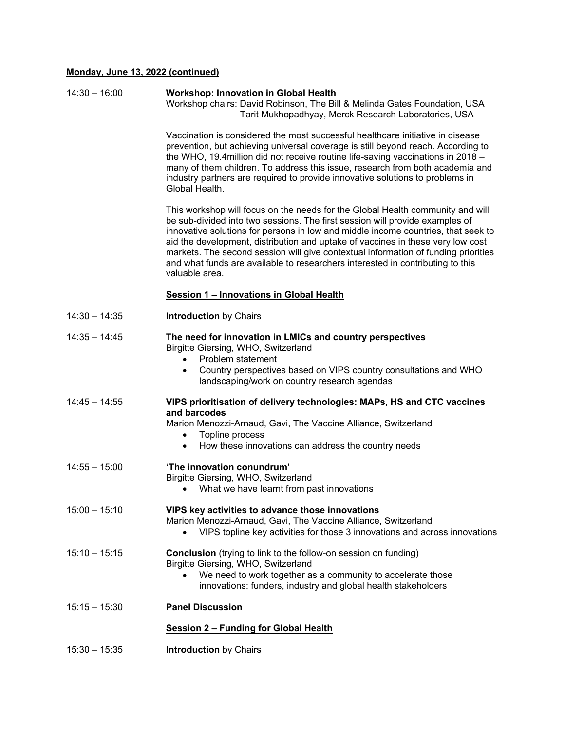### **Monday, June 13, 2022 (continued)**

| $14:30 - 16:00$ | <b>Workshop: Innovation in Global Health</b><br>Workshop chairs: David Robinson, The Bill & Melinda Gates Foundation, USA<br>Tarit Mukhopadhyay, Merck Research Laboratories, USA                                                                                                                                                                                                                                                                                                                                                |
|-----------------|----------------------------------------------------------------------------------------------------------------------------------------------------------------------------------------------------------------------------------------------------------------------------------------------------------------------------------------------------------------------------------------------------------------------------------------------------------------------------------------------------------------------------------|
|                 | Vaccination is considered the most successful healthcare initiative in disease<br>prevention, but achieving universal coverage is still beyond reach. According to<br>the WHO, 19.4 million did not receive routine life-saving vaccinations in 2018 -<br>many of them children. To address this issue, research from both academia and<br>industry partners are required to provide innovative solutions to problems in<br>Global Health.                                                                                       |
|                 | This workshop will focus on the needs for the Global Health community and will<br>be sub-divided into two sessions. The first session will provide examples of<br>innovative solutions for persons in low and middle income countries, that seek to<br>aid the development, distribution and uptake of vaccines in these very low cost<br>markets. The second session will give contextual information of funding priorities<br>and what funds are available to researchers interested in contributing to this<br>valuable area. |
|                 | Session 1 - Innovations in Global Health                                                                                                                                                                                                                                                                                                                                                                                                                                                                                         |
| $14:30 - 14:35$ | <b>Introduction by Chairs</b>                                                                                                                                                                                                                                                                                                                                                                                                                                                                                                    |
| $14:35 - 14:45$ | The need for innovation in LMICs and country perspectives<br>Birgitte Giersing, WHO, Switzerland<br>Problem statement<br>Country perspectives based on VIPS country consultations and WHO<br>$\bullet$<br>landscaping/work on country research agendas                                                                                                                                                                                                                                                                           |
| $14:45 - 14:55$ | VIPS prioritisation of delivery technologies: MAPs, HS and CTC vaccines<br>and barcodes<br>Marion Menozzi-Arnaud, Gavi, The Vaccine Alliance, Switzerland<br>Topline process<br>٠<br>How these innovations can address the country needs<br>$\bullet$                                                                                                                                                                                                                                                                            |
| $14:55 - 15:00$ | 'The innovation conundrum'<br>Birgitte Giersing, WHO, Switzerland<br>What we have learnt from past innovations                                                                                                                                                                                                                                                                                                                                                                                                                   |
| $15:00 - 15:10$ | VIPS key activities to advance those innovations<br>Marion Menozzi-Arnaud, Gavi, The Vaccine Alliance, Switzerland<br>VIPS topline key activities for those 3 innovations and across innovations                                                                                                                                                                                                                                                                                                                                 |
| $15:10 - 15:15$ | <b>Conclusion</b> (trying to link to the follow-on session on funding)<br>Birgitte Giersing, WHO, Switzerland<br>We need to work together as a community to accelerate those<br>innovations: funders, industry and global health stakeholders                                                                                                                                                                                                                                                                                    |
| $15:15 - 15:30$ | <b>Panel Discussion</b>                                                                                                                                                                                                                                                                                                                                                                                                                                                                                                          |
|                 | <b>Session 2 - Funding for Global Health</b>                                                                                                                                                                                                                                                                                                                                                                                                                                                                                     |
| $15:30 - 15:35$ | <b>Introduction by Chairs</b>                                                                                                                                                                                                                                                                                                                                                                                                                                                                                                    |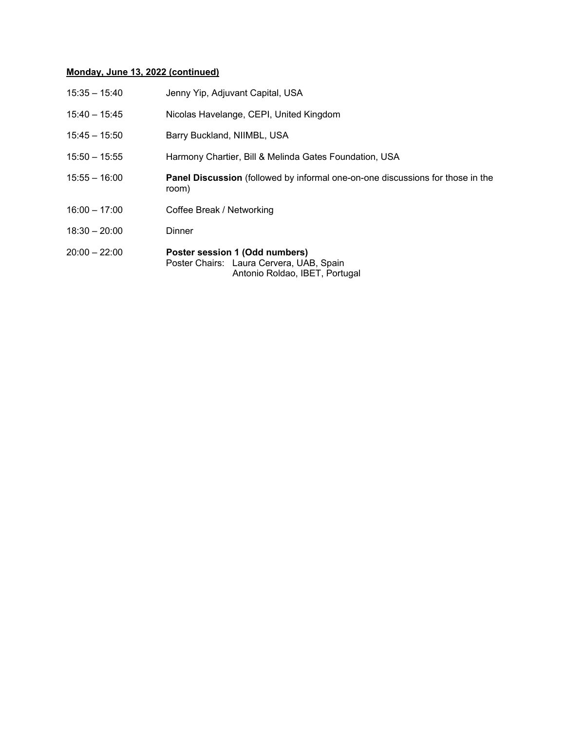### **Monday, June 13, 2022 (continued)**

| 15:35 - 15:40   | Jenny Yip, Adjuvant Capital, USA                                                                             |
|-----------------|--------------------------------------------------------------------------------------------------------------|
| $15:40 - 15:45$ | Nicolas Havelange, CEPI, United Kingdom                                                                      |
| $15:45 - 15:50$ | Barry Buckland, NIIMBL, USA                                                                                  |
| $15:50 - 15:55$ | Harmony Chartier, Bill & Melinda Gates Foundation, USA                                                       |
| $15:55 - 16:00$ | <b>Panel Discussion</b> (followed by informal one-on-one discussions for those in the<br>room)               |
| $16:00 - 17:00$ | Coffee Break / Networking                                                                                    |
| $18:30 - 20:00$ | Dinner                                                                                                       |
| 20:00 - 22:00   | Poster session 1 (Odd numbers)<br>Poster Chairs: Laura Cervera, UAB, Spain<br>Antonio Roldao, IBET, Portugal |
|                 |                                                                                                              |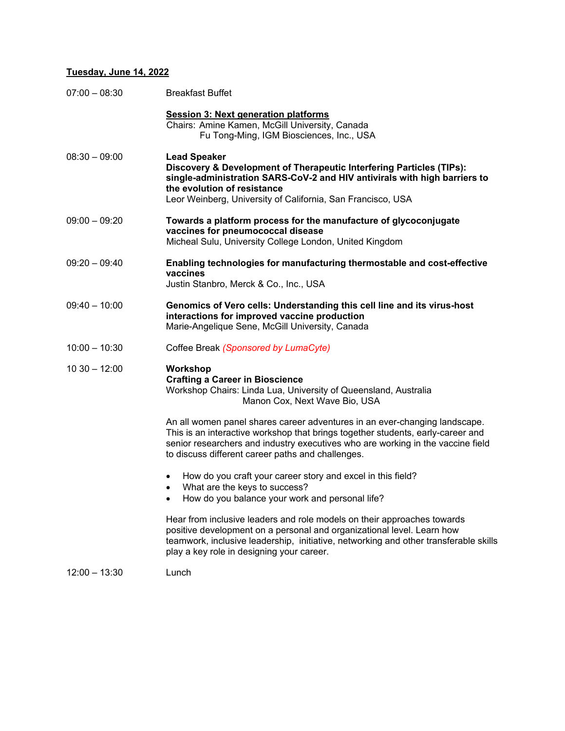#### **Tuesday, June 14, 2022**

| $07:00 - 08:30$ | <b>Breakfast Buffet</b>                                                                                                                                                                                                                                                                               |
|-----------------|-------------------------------------------------------------------------------------------------------------------------------------------------------------------------------------------------------------------------------------------------------------------------------------------------------|
|                 | <b>Session 3: Next generation platforms</b><br>Chairs: Amine Kamen, McGill University, Canada<br>Fu Tong-Ming, IGM Biosciences, Inc., USA                                                                                                                                                             |
| $08:30 - 09:00$ | <b>Lead Speaker</b><br>Discovery & Development of Therapeutic Interfering Particles (TIPs):<br>single-administration SARS-CoV-2 and HIV antivirals with high barriers to<br>the evolution of resistance<br>Leor Weinberg, University of California, San Francisco, USA                                |
| $09:00 - 09:20$ | Towards a platform process for the manufacture of glycoconjugate<br>vaccines for pneumococcal disease<br>Micheal Sulu, University College London, United Kingdom                                                                                                                                      |
| $09:20 - 09:40$ | Enabling technologies for manufacturing thermostable and cost-effective<br>vaccines<br>Justin Stanbro, Merck & Co., Inc., USA                                                                                                                                                                         |
| $09:40 - 10:00$ | Genomics of Vero cells: Understanding this cell line and its virus-host<br>interactions for improved vaccine production<br>Marie-Angelique Sene, McGill University, Canada                                                                                                                            |
| $10:00 - 10:30$ | Coffee Break (Sponsored by LumaCyte)                                                                                                                                                                                                                                                                  |
| $1030 - 12:00$  | Workshop<br><b>Crafting a Career in Bioscience</b><br>Workshop Chairs: Linda Lua, University of Queensland, Australia<br>Manon Cox, Next Wave Bio, USA                                                                                                                                                |
|                 | An all women panel shares career adventures in an ever-changing landscape.<br>This is an interactive workshop that brings together students, early-career and<br>senior researchers and industry executives who are working in the vaccine field<br>to discuss different career paths and challenges. |
|                 | How do you craft your career story and excel in this field?<br>What are the keys to success?<br>How do you balance your work and personal life?                                                                                                                                                       |
|                 | Hear from inclusive leaders and role models on their approaches towards<br>positive development on a personal and organizational level. Learn how<br>teamwork, inclusive leadership, initiative, networking and other transferable skills<br>play a key role in designing your career.                |

12:00 – 13:30 Lunch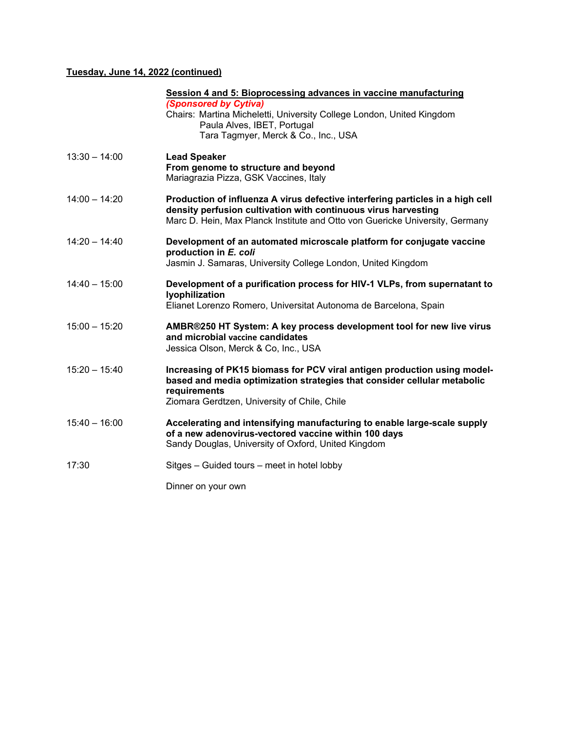#### **Tuesday, June 14, 2022 (continued)**

|                 | Session 4 and 5: Bioprocessing advances in vaccine manufacturing<br>(Sponsored by Cytiva)<br>Chairs: Martina Micheletti, University College London, United Kingdom<br>Paula Alves, IBET, Portugal<br>Tara Tagmyer, Merck & Co., Inc., USA |
|-----------------|-------------------------------------------------------------------------------------------------------------------------------------------------------------------------------------------------------------------------------------------|
| $13:30 - 14:00$ | <b>Lead Speaker</b><br>From genome to structure and beyond<br>Mariagrazia Pizza, GSK Vaccines, Italy                                                                                                                                      |
| $14:00 - 14:20$ | Production of influenza A virus defective interfering particles in a high cell<br>density perfusion cultivation with continuous virus harvesting<br>Marc D. Hein, Max Planck Institute and Otto von Guericke University, Germany          |
| $14:20 - 14:40$ | Development of an automated microscale platform for conjugate vaccine<br>production in E. coli<br>Jasmin J. Samaras, University College London, United Kingdom                                                                            |
| $14:40 - 15:00$ | Development of a purification process for HIV-1 VLPs, from supernatant to<br>lyophilization<br>Elianet Lorenzo Romero, Universitat Autonoma de Barcelona, Spain                                                                           |
| $15:00 - 15:20$ | AMBR®250 HT System: A key process development tool for new live virus<br>and microbial vaccine candidates<br>Jessica Olson, Merck & Co, Inc., USA                                                                                         |
| $15:20 - 15:40$ | Increasing of PK15 biomass for PCV viral antigen production using model-<br>based and media optimization strategies that consider cellular metabolic<br>requirements<br>Ziomara Gerdtzen, University of Chile, Chile                      |
| $15:40 - 16:00$ | Accelerating and intensifying manufacturing to enable large-scale supply<br>of a new adenovirus-vectored vaccine within 100 days<br>Sandy Douglas, University of Oxford, United Kingdom                                                   |
| 17:30           | Sitges – Guided tours – meet in hotel lobby                                                                                                                                                                                               |
|                 | Dinner on your own                                                                                                                                                                                                                        |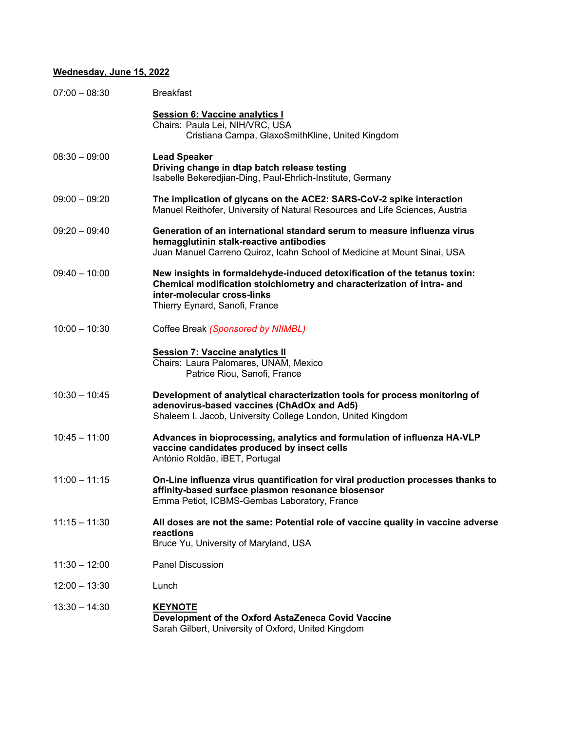### **Wednesday, June 15, 2022**

| $07:00 - 08:30$ | <b>Breakfast</b>                                                                                                                                                                                                     |
|-----------------|----------------------------------------------------------------------------------------------------------------------------------------------------------------------------------------------------------------------|
|                 | <b>Session 6: Vaccine analytics I</b><br>Chairs: Paula Lei, NIH/VRC, USA<br>Cristiana Campa, GlaxoSmithKline, United Kingdom                                                                                         |
| $08:30 - 09:00$ | <b>Lead Speaker</b><br>Driving change in dtap batch release testing<br>Isabelle Bekeredjian-Ding, Paul-Ehrlich-Institute, Germany                                                                                    |
| $09:00 - 09:20$ | The implication of glycans on the ACE2: SARS-CoV-2 spike interaction<br>Manuel Reithofer, University of Natural Resources and Life Sciences, Austria                                                                 |
| $09:20 - 09:40$ | Generation of an international standard serum to measure influenza virus<br>hemagglutinin stalk-reactive antibodies<br>Juan Manuel Carreno Quiroz, Icahn School of Medicine at Mount Sinai, USA                      |
| $09:40 - 10:00$ | New insights in formaldehyde-induced detoxification of the tetanus toxin:<br>Chemical modification stoichiometry and characterization of intra- and<br>inter-molecular cross-links<br>Thierry Eynard, Sanofi, France |
| $10:00 - 10:30$ | Coffee Break (Sponsored by NIIMBL)                                                                                                                                                                                   |
|                 | <b>Session 7: Vaccine analytics II</b><br>Chairs: Laura Palomares, UNAM, Mexico<br>Patrice Riou, Sanofi, France                                                                                                      |
| $10:30 - 10:45$ | Development of analytical characterization tools for process monitoring of<br>adenovirus-based vaccines (ChAdOx and Ad5)<br>Shaleem I. Jacob, University College London, United Kingdom                              |
| $10:45 - 11:00$ | Advances in bioprocessing, analytics and formulation of influenza HA-VLP<br>vaccine candidates produced by insect cells<br>António Roldão, iBET, Portugal                                                            |
| $11:00 - 11:15$ | On-Line influenza virus quantification for viral production processes thanks to<br>affinity-based surface plasmon resonance biosensor<br>Emma Petiot, ICBMS-Gembas Laboratory, France                                |
| $11:15 - 11:30$ | All doses are not the same: Potential role of vaccine quality in vaccine adverse<br>reactions<br>Bruce Yu, University of Maryland, USA                                                                               |
| $11:30 - 12:00$ | <b>Panel Discussion</b>                                                                                                                                                                                              |
| $12:00 - 13:30$ | Lunch                                                                                                                                                                                                                |
| $13:30 - 14:30$ | <b>KEYNOTE</b><br>Development of the Oxford AstaZeneca Covid Vaccine<br>Sarah Gilbert, University of Oxford, United Kingdom                                                                                          |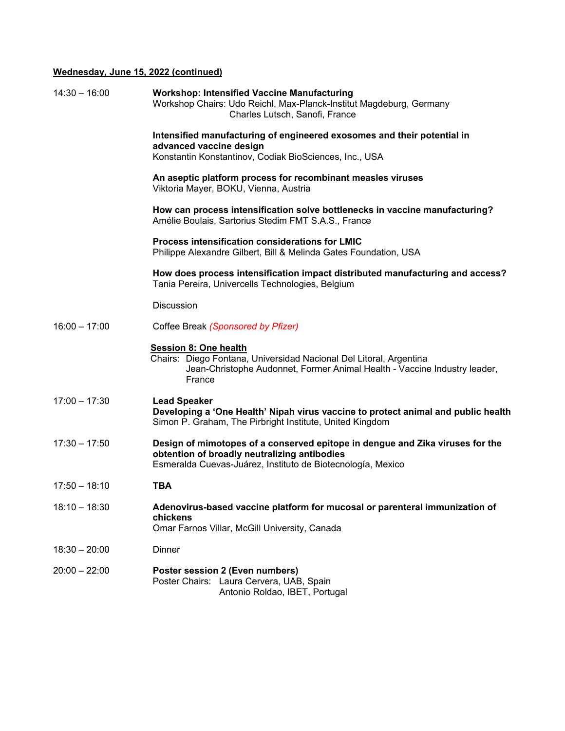#### **Wednesday, June 15, 2022 (continued)**

| $14:30 - 16:00$ | <b>Workshop: Intensified Vaccine Manufacturing</b><br>Workshop Chairs: Udo Reichl, Max-Planck-Institut Magdeburg, Germany<br>Charles Lutsch, Sanofi, France                                  |
|-----------------|----------------------------------------------------------------------------------------------------------------------------------------------------------------------------------------------|
|                 | Intensified manufacturing of engineered exosomes and their potential in<br>advanced vaccine design<br>Konstantin Konstantinov, Codiak BioSciences, Inc., USA                                 |
|                 | An aseptic platform process for recombinant measles viruses<br>Viktoria Mayer, BOKU, Vienna, Austria                                                                                         |
|                 | How can process intensification solve bottlenecks in vaccine manufacturing?<br>Amélie Boulais, Sartorius Stedim FMT S.A.S., France                                                           |
|                 | Process intensification considerations for LMIC<br>Philippe Alexandre Gilbert, Bill & Melinda Gates Foundation, USA                                                                          |
|                 | How does process intensification impact distributed manufacturing and access?<br>Tania Pereira, Univercells Technologies, Belgium                                                            |
|                 | <b>Discussion</b>                                                                                                                                                                            |
| $16:00 - 17:00$ | Coffee Break (Sponsored by Pfizer)                                                                                                                                                           |
|                 | <b>Session 8: One health</b><br>Chairs: Diego Fontana, Universidad Nacional Del Litoral, Argentina<br>Jean-Christophe Audonnet, Former Animal Health - Vaccine Industry leader,<br>France    |
| $17:00 - 17:30$ | <b>Lead Speaker</b><br>Developing a 'One Health' Nipah virus vaccine to protect animal and public health<br>Simon P. Graham, The Pirbright Institute, United Kingdom                         |
| $17:30 - 17:50$ | Design of mimotopes of a conserved epitope in dengue and Zika viruses for the<br>obtention of broadly neutralizing antibodies<br>Esmeralda Cuevas-Juárez, Instituto de Biotecnología, Mexico |
| $17:50 - 18:10$ | <b>TBA</b>                                                                                                                                                                                   |
| $18:10 - 18:30$ | Adenovirus-based vaccine platform for mucosal or parenteral immunization of<br>chickens<br>Omar Farnos Villar, McGill University, Canada                                                     |
| $18:30 - 20:00$ | Dinner                                                                                                                                                                                       |
| $20:00 - 22:00$ | Poster session 2 (Even numbers)<br>Poster Chairs: Laura Cervera, UAB, Spain<br>Antonio Roldao, IBET, Portugal                                                                                |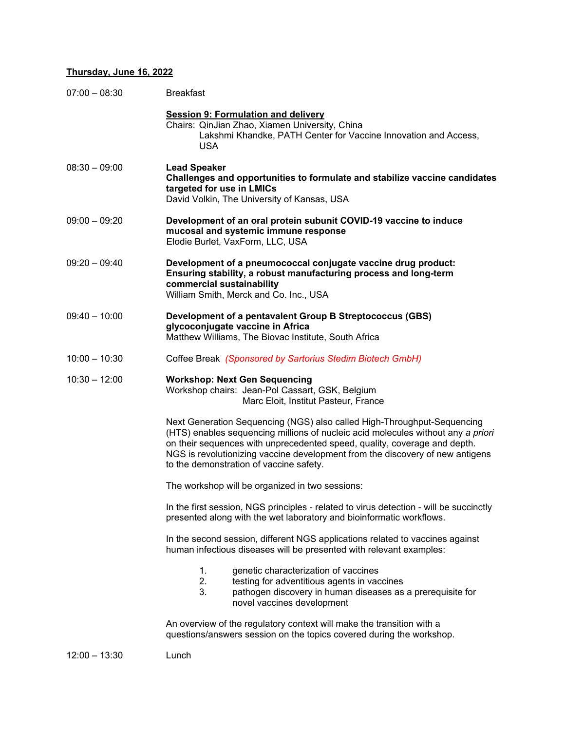#### **Thursday, June 16, 2022**

| $07:00 - 08:30$ | <b>Breakfast</b>                                                                                                                                                                                                                                                                                                                                                     |
|-----------------|----------------------------------------------------------------------------------------------------------------------------------------------------------------------------------------------------------------------------------------------------------------------------------------------------------------------------------------------------------------------|
|                 | <b>Session 9: Formulation and delivery</b><br>Chairs: QinJian Zhao, Xiamen University, China<br>Lakshmi Khandke, PATH Center for Vaccine Innovation and Access,<br><b>USA</b>                                                                                                                                                                                        |
| $08:30 - 09:00$ | <b>Lead Speaker</b><br>Challenges and opportunities to formulate and stabilize vaccine candidates<br>targeted for use in LMICs<br>David Volkin, The University of Kansas, USA                                                                                                                                                                                        |
| $09:00 - 09:20$ | Development of an oral protein subunit COVID-19 vaccine to induce<br>mucosal and systemic immune response<br>Elodie Burlet, VaxForm, LLC, USA                                                                                                                                                                                                                        |
| $09:20 - 09:40$ | Development of a pneumococcal conjugate vaccine drug product:<br>Ensuring stability, a robust manufacturing process and long-term<br>commercial sustainability<br>William Smith, Merck and Co. Inc., USA                                                                                                                                                             |
| $09:40 - 10:00$ | Development of a pentavalent Group B Streptococcus (GBS)<br>glycoconjugate vaccine in Africa<br>Matthew Williams, The Biovac Institute, South Africa                                                                                                                                                                                                                 |
| $10:00 - 10:30$ | Coffee Break (Sponsored by Sartorius Stedim Biotech GmbH)                                                                                                                                                                                                                                                                                                            |
| $10:30 - 12:00$ | <b>Workshop: Next Gen Sequencing</b><br>Workshop chairs: Jean-Pol Cassart, GSK, Belgium<br>Marc Eloit, Institut Pasteur, France                                                                                                                                                                                                                                      |
|                 | Next Generation Sequencing (NGS) also called High-Throughput-Sequencing<br>(HTS) enables sequencing millions of nucleic acid molecules without any a priori<br>on their sequences with unprecedented speed, quality, coverage and depth.<br>NGS is revolutionizing vaccine development from the discovery of new antigens<br>to the demonstration of vaccine safety. |
|                 | The workshop will be organized in two sessions:                                                                                                                                                                                                                                                                                                                      |
|                 | In the first session, NGS principles - related to virus detection - will be succinctly<br>presented along with the wet laboratory and bioinformatic workflows.                                                                                                                                                                                                       |
|                 | In the second session, different NGS applications related to vaccines against<br>human infectious diseases will be presented with relevant examples:                                                                                                                                                                                                                 |
|                 | genetic characterization of vaccines<br>1.<br>2.<br>testing for adventitious agents in vaccines<br>3.<br>pathogen discovery in human diseases as a prerequisite for<br>novel vaccines development                                                                                                                                                                    |
|                 | An overview of the regulatory context will make the transition with a<br>questions/answers session on the topics covered during the workshop.                                                                                                                                                                                                                        |
|                 |                                                                                                                                                                                                                                                                                                                                                                      |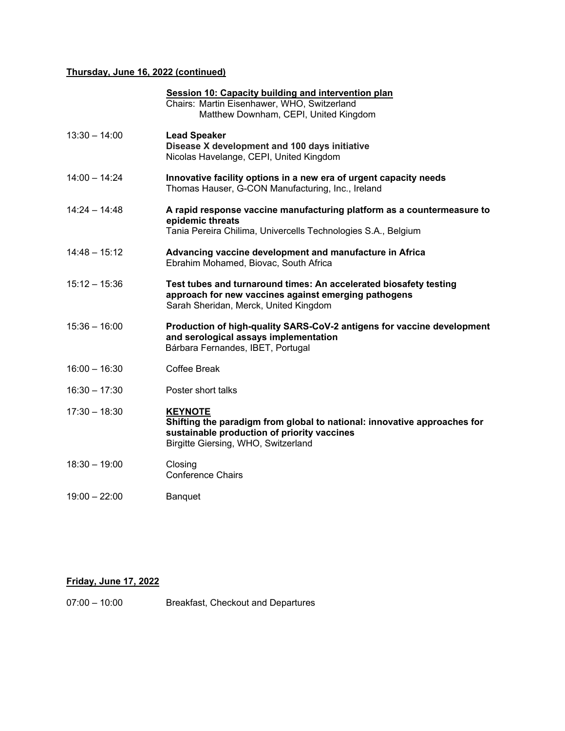#### **Thursday, June 16, 2022 (continued)**

|                 | <b>Session 10: Capacity building and intervention plan</b><br>Chairs: Martin Eisenhawer, WHO, Switzerland<br>Matthew Downham, CEPI, United Kingdom                               |
|-----------------|----------------------------------------------------------------------------------------------------------------------------------------------------------------------------------|
| $13:30 - 14:00$ | <b>Lead Speaker</b><br>Disease X development and 100 days initiative<br>Nicolas Havelange, CEPI, United Kingdom                                                                  |
| $14:00 - 14:24$ | Innovative facility options in a new era of urgent capacity needs<br>Thomas Hauser, G-CON Manufacturing, Inc., Ireland                                                           |
| $14:24 - 14:48$ | A rapid response vaccine manufacturing platform as a countermeasure to<br>epidemic threats<br>Tania Pereira Chilima, Univercells Technologies S.A., Belgium                      |
| $14:48 - 15:12$ | Advancing vaccine development and manufacture in Africa<br>Ebrahim Mohamed, Biovac, South Africa                                                                                 |
| $15:12 - 15:36$ | Test tubes and turnaround times: An accelerated biosafety testing<br>approach for new vaccines against emerging pathogens<br>Sarah Sheridan, Merck, United Kingdom               |
| $15:36 - 16:00$ | Production of high-quality SARS-CoV-2 antigens for vaccine development<br>and serological assays implementation<br>Bárbara Fernandes, IBET, Portugal                             |
| $16:00 - 16:30$ | Coffee Break                                                                                                                                                                     |
| $16:30 - 17:30$ | Poster short talks                                                                                                                                                               |
| $17:30 - 18:30$ | <b>KEYNOTE</b><br>Shifting the paradigm from global to national: innovative approaches for<br>sustainable production of priority vaccines<br>Birgitte Giersing, WHO, Switzerland |
| $18:30 - 19:00$ | Closing<br><b>Conference Chairs</b>                                                                                                                                              |
| $19:00 - 22:00$ | Banquet                                                                                                                                                                          |
|                 |                                                                                                                                                                                  |

### **Friday, June 17, 2022**

07:00 – 10:00 Breakfast, Checkout and Departures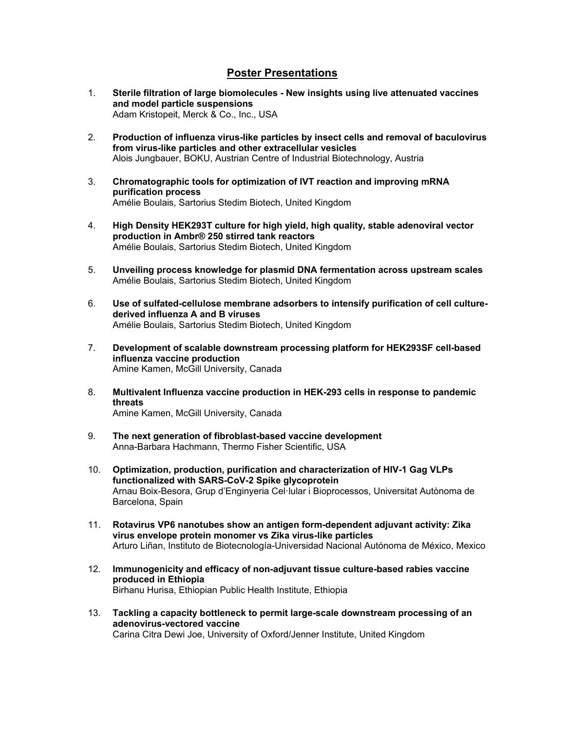#### **Poster Presentations**

- 1. **Sterile filtration of large biomolecules New insights using live attenuated vaccines and model particle suspensions**  Adam Kristopeit, Merck & Co., Inc., USA
- 2. **Production of influenza virus-like particles by insect cells and removal of baculovirus from virus-like particles and other extracellular vesicles**  Alois Jungbauer, BOKU, Austrian Centre of Industrial Biotechnology, Austria
- 3. **Chromatographic tools for optimization of IVT reaction and improving mRNA purification process**  Amélie Boulais, Sartorius Stedim Biotech, United Kingdom
- 4. **High Density HEK293T culture for high yield, high quality, stable adenoviral vector production in Ambr® 250 stirred tank reactors**  Amélie Boulais, Sartorius Stedim Biotech, United Kingdom
- 5. **Unveiling process knowledge for plasmid DNA fermentation across upstream scales**  Amélie Boulais, Sartorius Stedim Biotech, United Kingdom
- 6. **Use of sulfated-cellulose membrane adsorbers to intensify purification of cell culturederived influenza A and B viruses**  Amélie Boulais, Sartorius Stedim Biotech, United Kingdom
- 7. **Development of scalable downstream processing platform for HEK293SF cell-based influenza vaccine production**  Amine Kamen, McGill University, Canada
- 8. **Multivalent Influenza vaccine production in HEK-293 cells in response to pandemic threats**

Amine Kamen, McGill University, Canada

- 9. **The next generation of fibroblast-based vaccine development**  Anna-Barbara Hachmann, Thermo Fisher Scientific, USA
- 10. **Optimization, production, purification and characterization of HIV-1 Gag VLPs functionalized with SARS-CoV-2 Spike glycoprotein**  Arnau Boix-Besora, Grup d'Enginyeria Celꞏlular i Bioprocessos, Universitat Autònoma de Barcelona, Spain
- 11. **Rotavirus VP6 nanotubes show an antigen form-dependent adjuvant activity: Zika virus envelope protein monomer vs Zika virus-like particles**  Arturo Liñan, Instituto de Biotecnología-Universidad Nacional Autónoma de México, Mexico
- 12. **Immunogenicity and efficacy of non-adjuvant tissue culture-based rabies vaccine produced in Ethiopia**  Birhanu Hurisa, Ethiopian Public Health Institute, Ethiopia
- 13. **Tackling a capacity bottleneck to permit large-scale downstream processing of an adenovirus-vectored vaccine**  Carina Citra Dewi Joe, University of Oxford/Jenner Institute, United Kingdom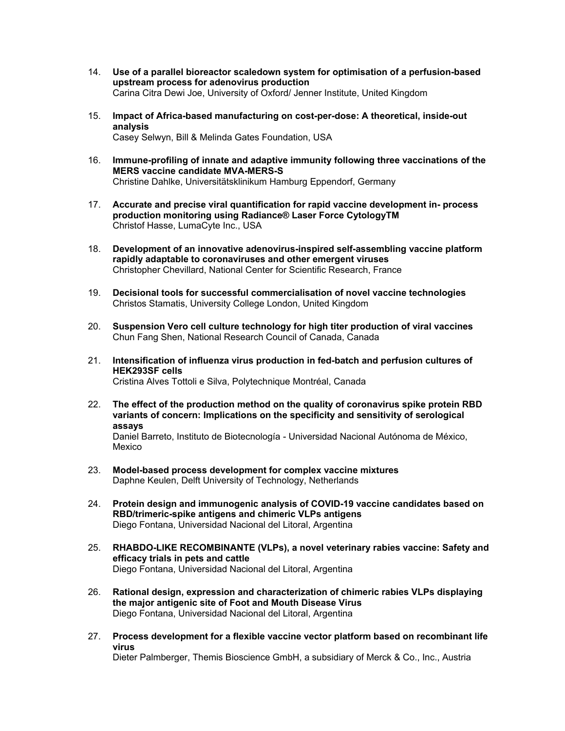- 14. **Use of a parallel bioreactor scaledown system for optimisation of a perfusion-based upstream process for adenovirus production**  Carina Citra Dewi Joe, University of Oxford/ Jenner Institute, United Kingdom
- 15. **Impact of Africa-based manufacturing on cost-per-dose: A theoretical, inside-out analysis**  Casey Selwyn, Bill & Melinda Gates Foundation, USA
- 16. **Immune-profiling of innate and adaptive immunity following three vaccinations of the MERS vaccine candidate MVA-MERS-S**  Christine Dahlke, Universitätsklinikum Hamburg Eppendorf, Germany
- 17. **Accurate and precise viral quantification for rapid vaccine development in- process production monitoring using Radiance® Laser Force CytologyTM**  Christof Hasse, LumaCyte Inc., USA
- 18. **Development of an innovative adenovirus-inspired self-assembling vaccine platform rapidly adaptable to coronaviruses and other emergent viruses**  Christopher Chevillard, National Center for Scientific Research, France
- 19. **Decisional tools for successful commercialisation of novel vaccine technologies**  Christos Stamatis, University College London, United Kingdom
- 20. **Suspension Vero cell culture technology for high titer production of viral vaccines**  Chun Fang Shen, National Research Council of Canada, Canada
- 21. **Intensification of influenza virus production in fed-batch and perfusion cultures of HEK293SF cells**  Cristina Alves Tottoli e Silva, Polytechnique Montréal, Canada
- 22. **The effect of the production method on the quality of coronavirus spike protein RBD variants of concern: Implications on the specificity and sensitivity of serological assays**

Daniel Barreto, Instituto de Biotecnología - Universidad Nacional Autónoma de México, Mexico

- 23. **Model-based process development for complex vaccine mixtures**  Daphne Keulen, Delft University of Technology, Netherlands
- 24. **Protein design and immunogenic analysis of COVID-19 vaccine candidates based on RBD/trimeric-spike antigens and chimeric VLPs antigens**  Diego Fontana, Universidad Nacional del Litoral, Argentina
- 25. **RHABDO-LIKE RECOMBINANTE (VLPs), a novel veterinary rabies vaccine: Safety and efficacy trials in pets and cattle**  Diego Fontana, Universidad Nacional del Litoral, Argentina
- 26. **Rational design, expression and characterization of chimeric rabies VLPs displaying the major antigenic site of Foot and Mouth Disease Virus**  Diego Fontana, Universidad Nacional del Litoral, Argentina
- 27. **Process development for a flexible vaccine vector platform based on recombinant life virus**

Dieter Palmberger, Themis Bioscience GmbH, a subsidiary of Merck & Co., Inc., Austria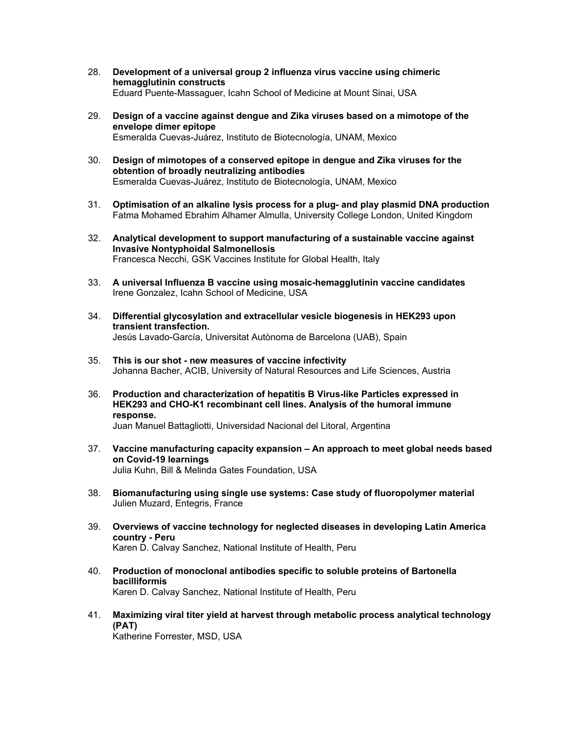- 28. **Development of a universal group 2 influenza virus vaccine using chimeric hemagglutinin constructs**  Eduard Puente-Massaguer, Icahn School of Medicine at Mount Sinai, USA
- 29. **Design of a vaccine against dengue and Zika viruses based on a mimotope of the envelope dimer epitope**  Esmeralda Cuevas-Juárez, Instituto de Biotecnología, UNAM, Mexico
- 30. **Design of mimotopes of a conserved epitope in dengue and Zika viruses for the obtention of broadly neutralizing antibodies**  Esmeralda Cuevas-Juárez, Instituto de Biotecnología, UNAM, Mexico
- 31. **Optimisation of an alkaline lysis process for a plug- and play plasmid DNA production**  Fatma Mohamed Ebrahim Alhamer Almulla, University College London, United Kingdom
- 32. **Analytical development to support manufacturing of a sustainable vaccine against Invasive Nontyphoidal Salmonellosis**  Francesca Necchi, GSK Vaccines Institute for Global Health, Italy
- 33. **A universal Influenza B vaccine using mosaic-hemagglutinin vaccine candidates**  Irene Gonzalez, Icahn School of Medicine, USA
- 34. **Differential glycosylation and extracellular vesicle biogenesis in HEK293 upon transient transfection.**  Jesús Lavado-García, Universitat Autònoma de Barcelona (UAB), Spain
- 35. **This is our shot new measures of vaccine infectivity**  Johanna Bacher, ACIB, University of Natural Resources and Life Sciences, Austria
- 36. **Production and characterization of hepatitis B Virus-like Particles expressed in HEK293 and CHO-K1 recombinant cell lines. Analysis of the humoral immune response.**

Juan Manuel Battagliotti, Universidad Nacional del Litoral, Argentina

- 37. **Vaccine manufacturing capacity expansion An approach to meet global needs based on Covid-19 learnings**  Julia Kuhn, Bill & Melinda Gates Foundation, USA
- 38. **Biomanufacturing using single use systems: Case study of fluoropolymer material**  Julien Muzard, Entegris, France
- 39. **Overviews of vaccine technology for neglected diseases in developing Latin America country - Peru**  Karen D. Calvay Sanchez, National Institute of Health, Peru
- 40. **Production of monoclonal antibodies specific to soluble proteins of Bartonella bacilliformis**  Karen D. Calvay Sanchez, National Institute of Health, Peru
- 41. **Maximizing viral titer yield at harvest through metabolic process analytical technology (PAT)**  Katherine Forrester, MSD, USA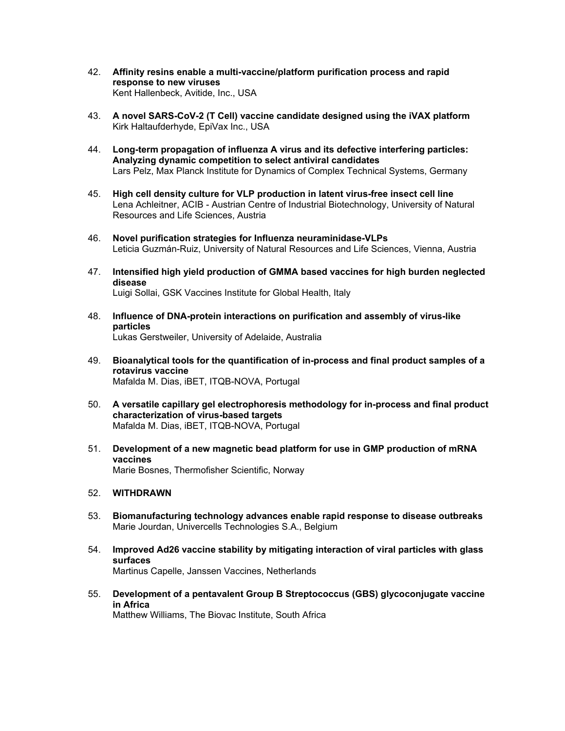- 42. **Affinity resins enable a multi-vaccine/platform purification process and rapid response to new viruses**  Kent Hallenbeck, Avitide, Inc., USA
- 43. **A novel SARS-CoV-2 (T Cell) vaccine candidate designed using the iVAX platform**  Kirk Haltaufderhyde, EpiVax Inc., USA
- 44. **Long-term propagation of influenza A virus and its defective interfering particles: Analyzing dynamic competition to select antiviral candidates**  Lars Pelz, Max Planck Institute for Dynamics of Complex Technical Systems, Germany
- 45. **High cell density culture for VLP production in latent virus-free insect cell line**  Lena Achleitner, ACIB - Austrian Centre of Industrial Biotechnology, University of Natural Resources and Life Sciences, Austria
- 46. **Novel purification strategies for Influenza neuraminidase-VLPs**  Leticia Guzmán-Ruiz, University of Natural Resources and Life Sciences, Vienna, Austria
- 47. **Intensified high yield production of GMMA based vaccines for high burden neglected disease**  Luigi Sollai, GSK Vaccines Institute for Global Health, Italy
- 48. **Influence of DNA-protein interactions on purification and assembly of virus-like particles**  Lukas Gerstweiler, University of Adelaide, Australia
- 49. **Bioanalytical tools for the quantification of in-process and final product samples of a rotavirus vaccine**  Mafalda M. Dias, iBET, ITQB-NOVA, Portugal
- 50. **A versatile capillary gel electrophoresis methodology for in-process and final product characterization of virus-based targets**  Mafalda M. Dias, iBET, ITQB-NOVA, Portugal
- 51. **Development of a new magnetic bead platform for use in GMP production of mRNA vaccines**  Marie Bosnes, Thermofisher Scientific, Norway
- 52. **WITHDRAWN**
- 53. **Biomanufacturing technology advances enable rapid response to disease outbreaks**  Marie Jourdan, Univercells Technologies S.A., Belgium
- 54. **Improved Ad26 vaccine stability by mitigating interaction of viral particles with glass surfaces**  Martinus Capelle, Janssen Vaccines, Netherlands
- 55. **Development of a pentavalent Group B Streptococcus (GBS) glycoconjugate vaccine in Africa**  Matthew Williams, The Biovac Institute, South Africa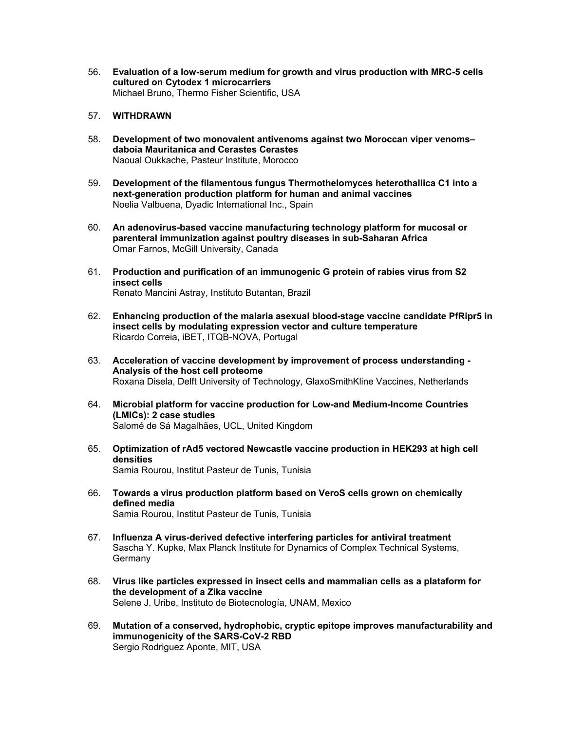- 56. **Evaluation of a low-serum medium for growth and virus production with MRC-5 cells cultured on Cytodex 1 microcarriers**  Michael Bruno, Thermo Fisher Scientific, USA
- 57. **WITHDRAWN**
- 58. **Development of two monovalent antivenoms against two Moroccan viper venoms– daboia Mauritanica and Cerastes Cerastes**  Naoual Oukkache, Pasteur Institute, Morocco
- 59. **Development of the filamentous fungus Thermothelomyces heterothallica C1 into a next-generation production platform for human and animal vaccines**  Noelia Valbuena, Dyadic International Inc., Spain
- 60. **An adenovirus-based vaccine manufacturing technology platform for mucosal or parenteral immunization against poultry diseases in sub-Saharan Africa**  Omar Farnos, McGill University, Canada
- 61. **Production and purification of an immunogenic G protein of rabies virus from S2 insect cells**  Renato Mancini Astray, Instituto Butantan, Brazil
- 62. **Enhancing production of the malaria asexual blood-stage vaccine candidate PfRipr5 in insect cells by modulating expression vector and culture temperature**  Ricardo Correia, iBET, ITQB-NOVA, Portugal
- 63. **Acceleration of vaccine development by improvement of process understanding Analysis of the host cell proteome**  Roxana Disela, Delft University of Technology, GlaxoSmithKline Vaccines, Netherlands
- 64. **Microbial platform for vaccine production for Low-and Medium-Income Countries (LMICs): 2 case studies**  Salomé de Sá Magalhães, UCL, United Kingdom
- 65. **Optimization of rAd5 vectored Newcastle vaccine production in HEK293 at high cell densities**  Samia Rourou, Institut Pasteur de Tunis, Tunisia
- 66. **Towards a virus production platform based on VeroS cells grown on chemically defined media**  Samia Rourou, Institut Pasteur de Tunis, Tunisia
- 67. **Influenza A virus-derived defective interfering particles for antiviral treatment**  Sascha Y. Kupke, Max Planck Institute for Dynamics of Complex Technical Systems, **Germany**
- 68. **Virus like particles expressed in insect cells and mammalian cells as a plataform for the development of a Zika vaccine**  Selene J. Uribe, Instituto de Biotecnología, UNAM, Mexico
- 69. **Mutation of a conserved, hydrophobic, cryptic epitope improves manufacturability and immunogenicity of the SARS-CoV-2 RBD**  Sergio Rodriguez Aponte, MIT, USA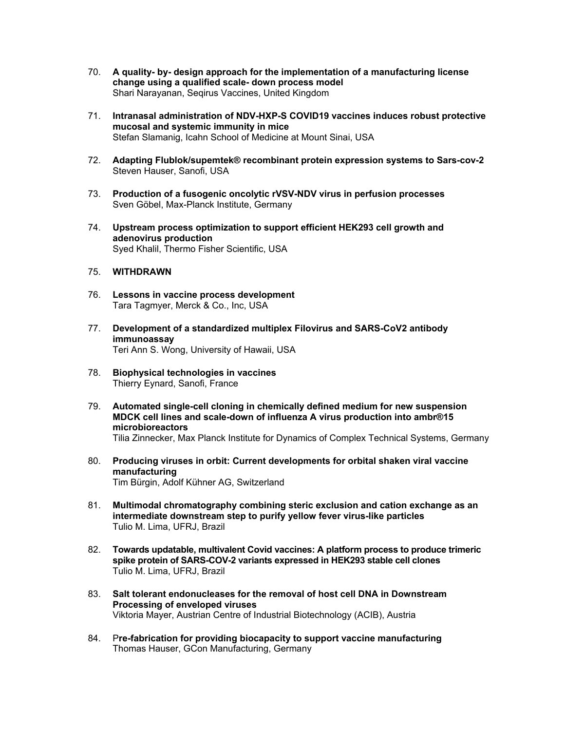- 70. **A quality- by- design approach for the implementation of a manufacturing license change using a qualified scale- down process model**  Shari Narayanan, Seqirus Vaccines, United Kingdom
- 71. **Intranasal administration of NDV-HXP-S COVID19 vaccines induces robust protective mucosal and systemic immunity in mice**  Stefan Slamanig, Icahn School of Medicine at Mount Sinai, USA
- 72. **Adapting Flublok/supemtek® recombinant protein expression systems to Sars-cov-2**  Steven Hauser, Sanofi, USA
- 73. **Production of a fusogenic oncolytic rVSV-NDV virus in perfusion processes**  Sven Göbel, Max-Planck Institute, Germany
- 74. **Upstream process optimization to support efficient HEK293 cell growth and adenovirus production**  Syed Khalil, Thermo Fisher Scientific, USA
- 75. **WITHDRAWN**
- 76. **Lessons in vaccine process development**  Tara Tagmyer, Merck & Co., Inc, USA
- 77. **Development of a standardized multiplex Filovirus and SARS-CoV2 antibody immunoassay**  Teri Ann S. Wong, University of Hawaii, USA
- 78. **Biophysical technologies in vaccines**  Thierry Eynard, Sanofi, France
- 79. **Automated single-cell cloning in chemically defined medium for new suspension MDCK cell lines and scale-down of influenza A virus production into ambr®15 microbioreactors**  Tilia Zinnecker, Max Planck Institute for Dynamics of Complex Technical Systems, Germany
- 80. **Producing viruses in orbit: Current developments for orbital shaken viral vaccine manufacturing**  Tim Bürgin, Adolf Kühner AG, Switzerland
- 81. **Multimodal chromatography combining steric exclusion and cation exchange as an intermediate downstream step to purify yellow fever virus-like particles**  Tulio M. Lima, UFRJ, Brazil
- 82. **Towards updatable, multivalent Covid vaccines: A platform process to produce trimeric spike protein of SARS-COV-2 variants expressed in HEK293 stable cell clones**  Tulio M. Lima, UFRJ, Brazil
- 83. **Salt tolerant endonucleases for the removal of host cell DNA in Downstream Processing of enveloped viruses**  Viktoria Mayer, Austrian Centre of Industrial Biotechnology (ACIB), Austria
- 84. P**re-fabrication for providing biocapacity to support vaccine manufacturing**  Thomas Hauser, GCon Manufacturing, Germany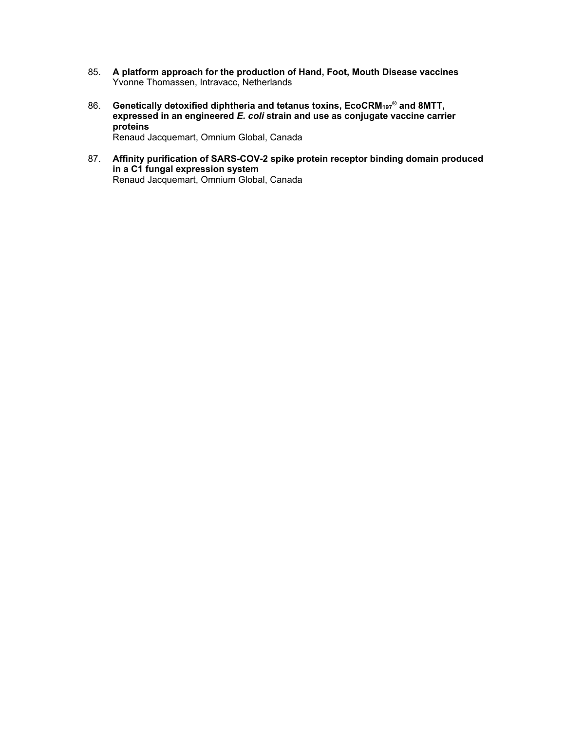- 85. **A platform approach for the production of Hand, Foot, Mouth Disease vaccines**  Yvonne Thomassen, Intravacc, Netherlands
- 86. **Genetically detoxified diphtheria and tetanus toxins, EcoCRM<sub>197</sub><sup>®</sup> and 8MTT, expressed in an engineered** *E. coli* **strain and use as conjugate vaccine carrier proteins**  Renaud Jacquemart, Omnium Global, Canada
- 87. **Affinity purification of SARS-COV-2 spike protein receptor binding domain produced in a C1 fungal expression system**  Renaud Jacquemart, Omnium Global, Canada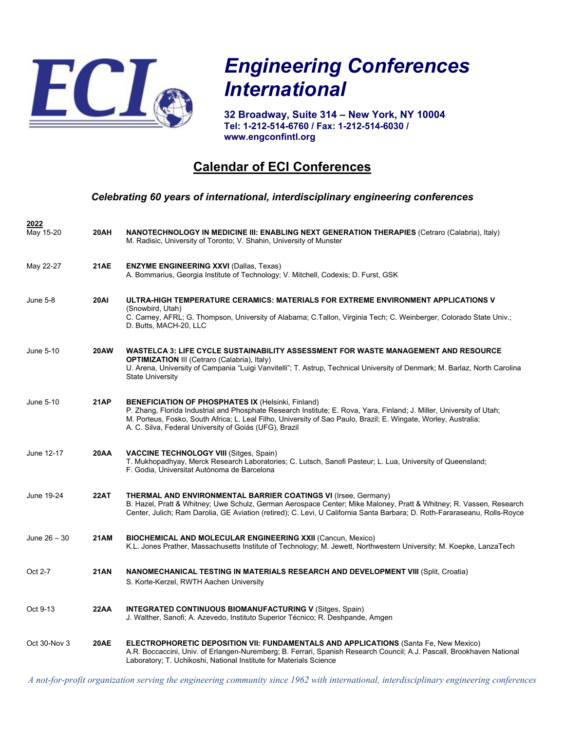

**2022**

# *Engineering Conferences International*

**32 Broadway, Suite 314 – New York, NY 10004 Tel: 1-212-514-6760 / Fax: 1-212-514-6030 / www.engconfintl.org**

## **Calendar of ECI Conferences**

#### *Celebrating 60 years of international, interdisciplinary engineering conferences*

| May 15-20    | 20AH        | NANOTECHNOLOGY IN MEDICINE III: ENABLING NEXT GENERATION THERAPIES (Cetraro (Calabria), Italy)<br>M. Radisic, University of Toronto; V. Shahin, University of Munster                                                                                                                                                                                           |
|--------------|-------------|-----------------------------------------------------------------------------------------------------------------------------------------------------------------------------------------------------------------------------------------------------------------------------------------------------------------------------------------------------------------|
| May 22-27    | <b>21AE</b> | <b>ENZYME ENGINEERING XXVI (Dallas, Texas)</b><br>A. Bommarius, Georgia Institute of Technology; V. Mitchell, Codexis; D. Furst, GSK                                                                                                                                                                                                                            |
| June 5-8     | <b>20AI</b> | ULTRA-HIGH TEMPERATURE CERAMICS: MATERIALS FOR EXTREME ENVIRONMENT APPLICATIONS V<br>(Snowbird, Utah)<br>C. Carney, AFRL; G. Thompson, University of Alabama; C.Tallon, Virginia Tech; C. Weinberger, Colorado State Univ.;<br>D. Butts, MACH-20, LLC                                                                                                           |
| June 5-10    | <b>20AW</b> | WASTELCA 3: LIFE CYCLE SUSTAINABILITY ASSESSMENT FOR WASTE MANAGEMENT AND RESOURCE<br><b>OPTIMIZATION III (Cetraro (Calabria), Italy)</b><br>U. Arena, University of Campania "Luigi Vanvitelli"; T. Astrup, Technical University of Denmark; M. Barlaz, North Carolina<br><b>State University</b>                                                              |
| June 5-10    | <b>21AP</b> | <b>BENEFICIATION OF PHOSPHATES IX (Helsinki, Finland)</b><br>P. Zhang, Florida Industrial and Phosphate Research Institute; E. Rova, Yara, Finland; J. Miller, University of Utah;<br>M. Porteus, Fosko, South Africa; L. Leal Filho, University of Sao Paulo, Brazil; E. Wingate, Worley, Australia;<br>A. C. Silva, Federal University of Goiás (UFG), Brazil |
| June 12-17   | <b>20AA</b> | <b>VACCINE TECHNOLOGY VIII (Sitges, Spain)</b><br>T. Mukhopadhyay, Merck Research Laboratories; C. Lutsch, Sanofi Pasteur; L. Lua, University of Queensland;<br>F. Godia, Universitat Autònoma de Barcelona                                                                                                                                                     |
| June 19-24   | 22AT        | <b>THERMAL AND ENVIRONMENTAL BARRIER COATINGS VI (Irsee, Germany)</b><br>B. Hazel, Pratt & Whitney; Uwe Schulz, German Aerospace Center; Mike Maloney, Pratt & Whitney; R. Vassen, Research<br>Center, Julich; Ram Darolia, GE Aviation (retired); C. Levi, U California Santa Barbara; D. Roth-Fararaseanu, Rolls-Royce                                        |
| June 26 – 30 | <b>21AM</b> | <b>BIOCHEMICAL AND MOLECULAR ENGINEERING XXII (Cancun, Mexico)</b><br>K.L. Jones Prather, Massachusetts Institute of Technology; M. Jewett, Northwestern University; M. Koepke, LanzaTech                                                                                                                                                                       |
| Oct 2-7      | <b>21AN</b> | NANOMECHANICAL TESTING IN MATERIALS RESEARCH AND DEVELOPMENT VIII (Split, Croatia)<br>S. Korte-Kerzel, RWTH Aachen University                                                                                                                                                                                                                                   |
| Oct 9-13     | <b>22AA</b> | <b>INTEGRATED CONTINUOUS BIOMANUFACTURING V (Sitges, Spain)</b><br>J. Walther, Sanofi; A. Azevedo, Instituto Superior Técnico; R. Deshpande, Amgen                                                                                                                                                                                                              |
| Oct 30-Nov 3 | <b>20AE</b> | <b>ELECTROPHORETIC DEPOSITION VII: FUNDAMENTALS AND APPLICATIONS (Santa Fe, New Mexico)</b><br>A.R. Boccaccini, Univ. of Erlangen-Nuremberg; B. Ferrari, Spanish Research Council; A.J. Pascall, Brookhaven National<br>Laboratory; T. Uchikoshi, National Institute for Materials Science                                                                      |

*A not-for-profit organization serving the engineering community since 1962 with international, interdisciplinary engineering conferences*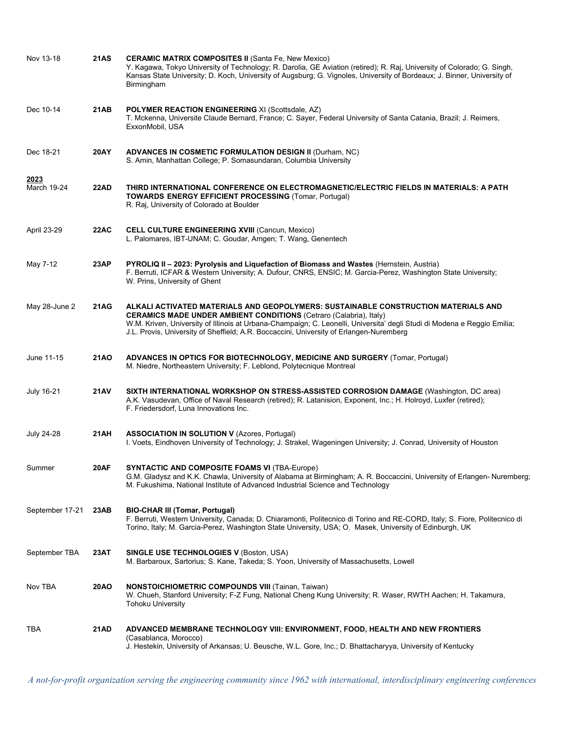| Nov 13-18            | 21AS        | <b>CERAMIC MATRIX COMPOSITES II (Santa Fe, New Mexico)</b><br>Y. Kagawa, Tokyo University of Technology; R. Darolia, GE Aviation (retired); R. Raj, University of Colorado; G. Singh,<br>Kansas State University; D. Koch, University of Augsburg; G. Vignoles, University of Bordeaux; J. Binner, University of<br>Birmingham                                                         |
|----------------------|-------------|----------------------------------------------------------------------------------------------------------------------------------------------------------------------------------------------------------------------------------------------------------------------------------------------------------------------------------------------------------------------------------------|
| Dec 10-14            | 21 AB       | POLYMER REACTION ENGINEERING XI (Scottsdale, AZ)<br>T. Mckenna, Universite Claude Bernard, France; C. Sayer, Federal University of Santa Catania, Brazil; J. Reimers,<br>ExxonMobil, USA                                                                                                                                                                                               |
| Dec 18-21            | 20AY        | <b>ADVANCES IN COSMETIC FORMULATION DESIGN II (Durham, NC)</b><br>S. Amin, Manhattan College; P. Somasundaran, Columbia University                                                                                                                                                                                                                                                     |
| 2023<br>March 19-24  | 22AD        | THIRD INTERNATIONAL CONFERENCE ON ELECTROMAGNETIC/ELECTRIC FIELDS IN MATERIALS: A PATH<br><b>TOWARDS ENERGY EFFICIENT PROCESSING (Tomar, Portugal)</b><br>R. Raj, University of Colorado at Boulder                                                                                                                                                                                    |
| April 23-29          | 22AC        | <b>CELL CULTURE ENGINEERING XVIII (Cancun, Mexico)</b><br>L. Palomares, IBT-UNAM; C. Goudar, Amgen; T. Wang, Genentech                                                                                                                                                                                                                                                                 |
| May 7-12             | 23AP        | PYROLIQ II - 2023: Pyrolysis and Liquefaction of Biomass and Wastes (Hernstein, Austria)<br>F. Berruti, ICFAR & Western University; A. Dufour, CNRS, ENSIC; M. Garcia-Perez, Washington State University;<br>W. Prins, University of Ghent                                                                                                                                             |
| May 28-June 2        | 21 A G      | ALKALI ACTIVATED MATERIALS AND GEOPOLYMERS: SUSTAINABLE CONSTRUCTION MATERIALS AND<br><b>CERAMICS MADE UNDER AMBIENT CONDITIONS (Cetraro (Calabria), Italy)</b><br>W.M. Kriven, University of Illinois at Urbana-Champaign; C. Leonelli, Universita' degli Studi di Modena e Reggio Emilia;<br>J.L. Provis, University of Sheffield; A.R. Boccaccini, University of Erlangen-Nuremberg |
| June 11-15           | 21AO        | ADVANCES IN OPTICS FOR BIOTECHNOLOGY, MEDICINE AND SURGERY (Tomar, Portugal)<br>M. Niedre, Northeastern University; F. Leblond, Polytecnique Montreal                                                                                                                                                                                                                                  |
| <b>July 16-21</b>    | <b>21AV</b> | SIXTH INTERNATIONAL WORKSHOP ON STRESS-ASSISTED CORROSION DAMAGE (Washington, DC area)<br>A.K. Vasudevan, Office of Naval Research (retired); R. Latanision, Exponent, Inc.; H. Holroyd, Luxfer (retired);<br>F. Friedersdorf, Luna Innovations Inc.                                                                                                                                   |
| <b>July 24-28</b>    | 21 AH       | <b>ASSOCIATION IN SOLUTION V (Azores, Portugal)</b><br>I. Voets, Eindhoven University of Technology; J. Strakel, Wageningen University; J. Conrad, University of Houston                                                                                                                                                                                                               |
| Summer               | 20AF        | <b>SYNTACTIC AND COMPOSITE FOAMS VI (TBA-Europe)</b><br>G.M. Gladysz and K.K. Chawla, University of Alabama at Birmingham; A. R. Boccaccini, University of Erlangen-Nuremberg;<br>M. Fukushima, National Institute of Advanced Industrial Science and Technology                                                                                                                       |
| September 17-21 23AB |             | <b>BIO-CHAR III (Tomar, Portugal)</b><br>F. Berruti, Western University, Canada; D. Chiaramonti, Politecnico di Torino and RE-CORD, Italy; S. Fiore, Politecnico di<br>Torino, Italy; M. Garcia-Perez, Washington State University, USA; O. Masek, University of Edinburgh, UK                                                                                                         |
| September TBA        | 23AT        | <b>SINGLE USE TECHNOLOGIES V (Boston, USA)</b><br>M. Barbaroux, Sartorius; S. Kane, Takeda; S. Yoon, University of Massachusetts, Lowell                                                                                                                                                                                                                                               |
| Nov TBA              | 20AO        | <b>NONSTOICHIOMETRIC COMPOUNDS VIII (Tainan, Taiwan)</b><br>W. Chueh, Stanford University; F-Z Fung, National Cheng Kung University; R. Waser, RWTH Aachen; H. Takamura,<br><b>Tohoku University</b>                                                                                                                                                                                   |
| TBA                  | 21AD        | ADVANCED MEMBRANE TECHNOLOGY VIII: ENVIRONMENT, FOOD, HEALTH AND NEW FRONTIERS<br>(Casablanca, Morocco)<br>J. Hestekin, University of Arkansas; U. Beusche, W.L. Gore, Inc.; D. Bhattacharyya, University of Kentucky                                                                                                                                                                  |

*A not-for-profit organization serving the engineering community since 1962 with international, interdisciplinary engineering conferences*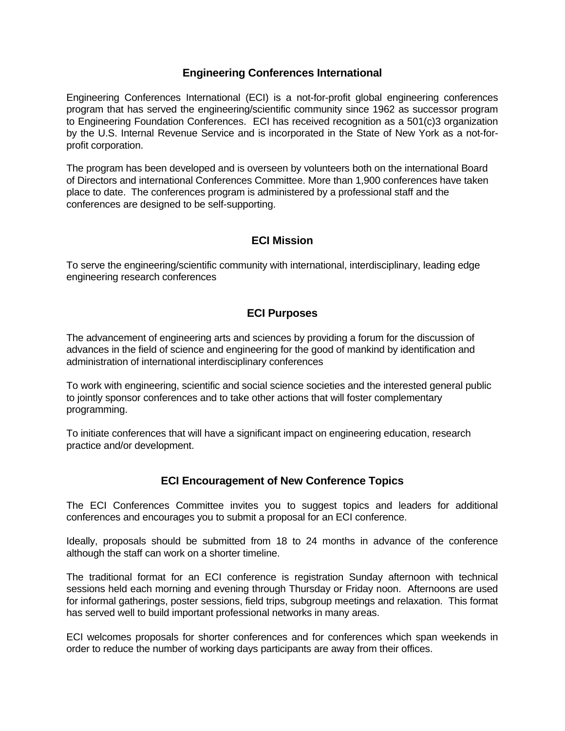#### **Engineering Conferences International**

Engineering Conferences International (ECI) is a not-for-profit global engineering conferences program that has served the engineering/scientific community since 1962 as successor program to Engineering Foundation Conferences. ECI has received recognition as a 501(c)3 organization by the U.S. Internal Revenue Service and is incorporated in the State of New York as a not-forprofit corporation.

The program has been developed and is overseen by volunteers both on the international Board of Directors and international Conferences Committee. More than 1,900 conferences have taken place to date. The conferences program is administered by a professional staff and the conferences are designed to be self-supporting.

### **ECI Mission**

To serve the engineering/scientific community with international, interdisciplinary, leading edge engineering research conferences

### **ECI Purposes**

The advancement of engineering arts and sciences by providing a forum for the discussion of advances in the field of science and engineering for the good of mankind by identification and administration of international interdisciplinary conferences

To work with engineering, scientific and social science societies and the interested general public to jointly sponsor conferences and to take other actions that will foster complementary programming.

To initiate conferences that will have a significant impact on engineering education, research practice and/or development.

### **ECI Encouragement of New Conference Topics**

The ECI Conferences Committee invites you to suggest topics and leaders for additional conferences and encourages you to submit a proposal for an ECI conference.

Ideally, proposals should be submitted from 18 to 24 months in advance of the conference although the staff can work on a shorter timeline.

The traditional format for an ECI conference is registration Sunday afternoon with technical sessions held each morning and evening through Thursday or Friday noon. Afternoons are used for informal gatherings, poster sessions, field trips, subgroup meetings and relaxation. This format has served well to build important professional networks in many areas.

ECI welcomes proposals for shorter conferences and for conferences which span weekends in order to reduce the number of working days participants are away from their offices.